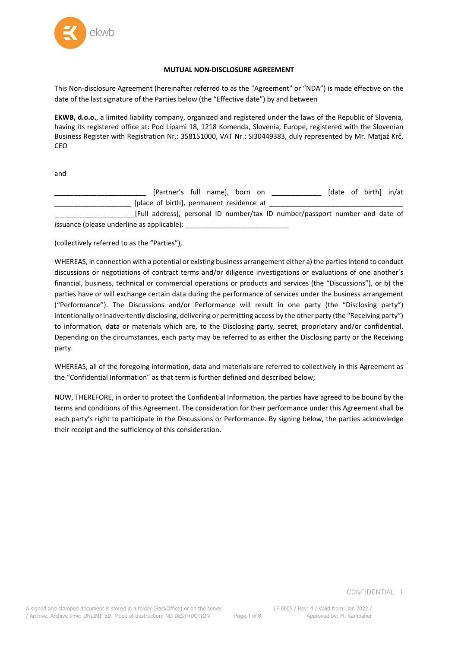

#### **MUTUAL NON-DISCLOSURE AGREEMENT**

This Non-disclosure Agreement (hereinafter referred to as the "Agreement" or "NDA") is made effective on the date of the last signature of the Parties below (the "Effective date") by and between

**EKWB, d.o.o.**, a limited liability company, organized and registered under the laws of the Republic of Slovenia, having its registered office at: Pod Lipami 18, 1218 Komenda, Slovenia, Europe, registered with the Slovenian Business Register with Registration Nr.: 358151000, VAT Nr.: SI30449383, duly represented by Mr. Matjaž Krč, CEO

and

| [Partner's full name], born on                                               |  | [date of birth] in/at |  |
|------------------------------------------------------------------------------|--|-----------------------|--|
| [place of birth], permanent residence at                                     |  |                       |  |
| [Full address], personal ID number/tax ID number/passport number and date of |  |                       |  |

issuance (please underline as applicable): \_\_\_\_\_\_\_\_\_\_\_\_\_\_\_\_\_\_\_\_\_\_\_\_\_\_\_

(collectively referred to as the "Parties"),

WHEREAS, in connection with a potential or existing business arrangement either a) the parties intend to conduct discussions or negotiations of contract terms and/or diligence investigations or evaluations of one another's financial, business, technical or commercial operations or products and services (the "Discussions"), or b) the parties have or will exchange certain data during the performance of services under the business arrangement ("Performance"). The Discussions and/or Performance will result in one party (the "Disclosing party") intentionally or inadvertently disclosing, delivering or permitting access by the other party (the "Receiving party") to information, data or materials which are, to the Disclosing party, secret, proprietary and/or confidential. Depending on the circumstances, each party may be referred to as either the Disclosing party or the Receiving party.

WHEREAS, all of the foregoing information, data and materials are referred to collectively in this Agreement as the "Confidential Information" as that term is further defined and described below;

NOW, THEREFORE, in order to protect the Confidential Information, the parties have agreed to be bound by the terms and conditions of this Agreement. The consideration for their performance under this Agreement shall be each party's right to participate in the Discussions or Performance. By signing below, the parties acknowledge their receipt and the sufficiency of this consideration.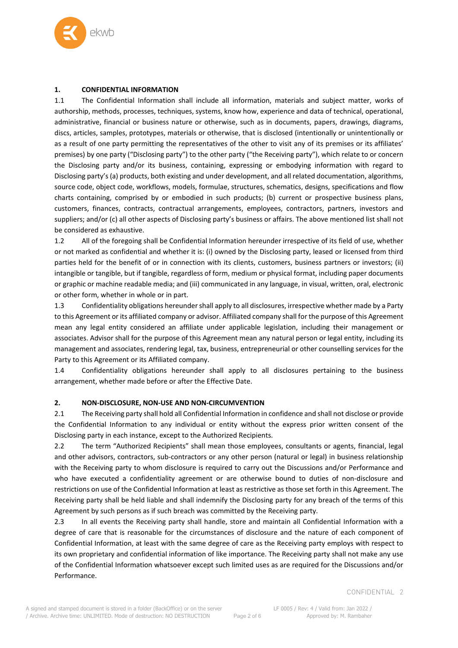

## **1. CONFIDENTIAL INFORMATION**

1.1 The Confidential Information shall include all information, materials and subject matter, works of authorship, methods, processes, techniques, systems, know how, experience and data of technical, operational, administrative, financial or business nature or otherwise, such as in documents, papers, drawings, diagrams, discs, articles, samples, prototypes, materials or otherwise, that is disclosed (intentionally or unintentionally or as a result of one party permitting the representatives of the other to visit any of its premises or its affiliates' premises) by one party ("Disclosing party") to the other party ("the Receiving party"), which relate to or concern the Disclosing party and/or its business, containing, expressing or embodying information with regard to Disclosing party's (a) products, both existing and under development, and all related documentation, algorithms, source code, object code, workflows, models, formulae, structures, schematics, designs, specifications and flow charts containing, comprised by or embodied in such products; (b) current or prospective business plans, customers, finances, contracts, contractual arrangements, employees, contractors, partners, investors and suppliers; and/or (c) all other aspects of Disclosing party's business or affairs. The above mentioned list shall not be considered as exhaustive.

1.2 All of the foregoing shall be Confidential Information hereunder irrespective of its field of use, whether or not marked as confidential and whether it is: (i) owned by the Disclosing party, leased or licensed from third parties held for the benefit of or in connection with its clients, customers, business partners or investors; (ii) intangible or tangible, but if tangible, regardless of form, medium or physical format, including paper documents or graphic or machine readable media; and (iii) communicated in any language, in visual, written, oral, electronic or other form, whether in whole or in part.

1.3 Confidentiality obligations hereunder shall apply to all disclosures, irrespective whether made by a Party to this Agreement or its affiliated company or advisor. Affiliated company shall for the purpose of this Agreement mean any legal entity considered an affiliate under applicable legislation, including their management or associates. Advisor shall for the purpose of this Agreement mean any natural person or legal entity, including its management and associates, rendering legal, tax, business, entrepreneurial or other counselling services for the Party to this Agreement or its Affiliated company.

1.4 Confidentiality obligations hereunder shall apply to all disclosures pertaining to the business arrangement, whether made before or after the Effective Date.

## **2. NON-DISCLOSURE, NON-USE AND NON-CIRCUMVENTION**

2.1 The Receiving party shall hold all Confidential Information in confidence and shall not disclose or provide the Confidential Information to any individual or entity without the express prior written consent of the Disclosing party in each instance, except to the Authorized Recipients.

2.2 The term "Authorized Recipients" shall mean those employees, consultants or agents, financial, legal and other advisors, contractors, sub-contractors or any other person (natural or legal) in business relationship with the Receiving party to whom disclosure is required to carry out the Discussions and/or Performance and who have executed a confidentiality agreement or are otherwise bound to duties of non-disclosure and restrictions on use of the Confidential Information at least as restrictive as those set forth in this Agreement. The Receiving party shall be held liable and shall indemnify the Disclosing party for any breach of the terms of this Agreement by such persons as if such breach was committed by the Receiving party.

2.3 In all events the Receiving party shall handle, store and maintain all Confidential Information with a degree of care that is reasonable for the circumstances of disclosure and the nature of each component of Confidential Information, at least with the same degree of care as the Receiving party employs with respect to its own proprietary and confidential information of like importance. The Receiving party shall not make any use of the Confidential Information whatsoever except such limited uses as are required for the Discussions and/or Performance.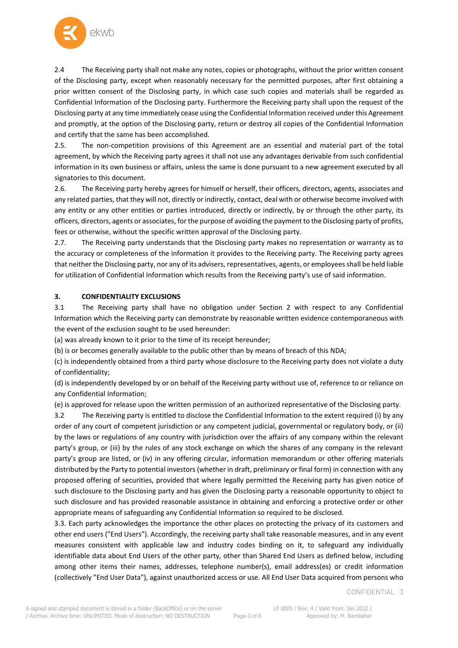

2.4 The Receiving party shall not make any notes, copies or photographs, without the prior written consent of the Disclosing party, except when reasonably necessary for the permitted purposes, after first obtaining a prior written consent of the Disclosing party, in which case such copies and materials shall be regarded as Confidential Information of the Disclosing party. Furthermore the Receiving party shall upon the request of the Disclosing party at any time immediately cease using the Confidential Information received under this Agreement and promptly, at the option of the Disclosing party, return or destroy all copies of the Confidential Information and certify that the same has been accomplished.

2.5. The non-competition provisions of this Agreement are an essential and material part of the total agreement, by which the Receiving party agrees it shall not use any advantages derivable from such confidential information in its own business or affairs, unless the same is done pursuant to a new agreement executed by all signatories to this document.

2.6. The Receiving party hereby agrees for himself or herself, their officers, directors, agents, associates and any related parties, that they will not, directly or indirectly, contact, deal with or otherwise become involved with any entity or any other entities or parties introduced, directly or indirectly, by or through the other party, its officers, directors, agents or associates, for the purpose of avoiding the payment to the Disclosing party of profits, fees or otherwise, without the specific written approval of the Disclosing party.

2.7. The Receiving party understands that the Disclosing party makes no representation or warranty as to the accuracy or completeness of the information it provides to the Receiving party. The Receiving party agrees that neither the Disclosing party, nor any of its advisers, representatives, agents, or employees shall be held liable for utilization of Confidential Information which results from the Receiving party's use of said information.

## **3. CONFIDENTIALITY EXCLUSIONS**

3.1 The Receiving party shall have no obligation under Section 2 with respect to any Confidential Information which the Receiving party can demonstrate by reasonable written evidence contemporaneous with the event of the exclusion sought to be used hereunder:

(a) was already known to it prior to the time of its receipt hereunder;

(b) is or becomes generally available to the public other than by means of breach of this NDA;

(c) is independently obtained from a third party whose disclosure to the Receiving party does not violate a duty of confidentiality;

(d) is independently developed by or on behalf of the Receiving party without use of, reference to or reliance on any Confidential Information;

(e) is approved for release upon the written permission of an authorized representative of the Disclosing party.

3.2 The Receiving party is entitled to disclose the Confidential Information to the extent required (i) by any order of any court of competent jurisdiction or any competent judicial, governmental or regulatory body, or (ii) by the laws or regulations of any country with jurisdiction over the affairs of any company within the relevant party's group, or (iii) by the rules of any stock exchange on which the shares of any company in the relevant party's group are listed, or (iv) in any offering circular, information memorandum or other offering materials distributed by the Party to potential investors (whether in draft, preliminary or final form) in connection with any proposed offering of securities, provided that where legally permitted the Receiving party has given notice of such disclosure to the Disclosing party and has given the Disclosing party a reasonable opportunity to object to such disclosure and has provided reasonable assistance in obtaining and enforcing a protective order or other appropriate means of safeguarding any Confidential Information so required to be disclosed.

3.3. Each party acknowledges the importance the other places on protecting the privacy of its customers and other end users ("End Users"). Accordingly, the receiving party shall take reasonable measures, and in any event measures consistent with applicable law and industry codes binding on it, to safeguard any individually identifiable data about End Users of the other party, other than Shared End Users as defined below, including among other items their names, addresses, telephone number(s), email address(es) or credit information (collectively "End User Data"), against unauthorized access or use. All End User Data acquired from persons who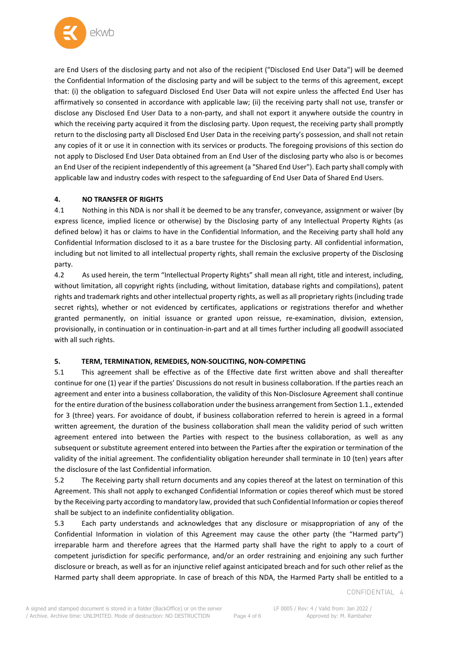

are End Users of the disclosing party and not also of the recipient ("Disclosed End User Data") will be deemed the Confidential Information of the disclosing party and will be subject to the terms of this agreement, except that: (i) the obligation to safeguard Disclosed End User Data will not expire unless the affected End User has affirmatively so consented in accordance with applicable law; (ii) the receiving party shall not use, transfer or disclose any Disclosed End User Data to a non-party, and shall not export it anywhere outside the country in which the receiving party acquired it from the disclosing party. Upon request, the receiving party shall promptly return to the disclosing party all Disclosed End User Data in the receiving party's possession, and shall not retain any copies of it or use it in connection with its services or products. The foregoing provisions of this section do not apply to Disclosed End User Data obtained from an End User of the disclosing party who also is or becomes an End User of the recipient independently of this agreement (a "Shared End User"). Each party shall comply with applicable law and industry codes with respect to the safeguarding of End User Data of Shared End Users.

# **4. NO TRANSFER OF RIGHTS**

4.1 Nothing in this NDA is nor shall it be deemed to be any transfer, conveyance, assignment or waiver (by express licence, implied licence or otherwise) by the Disclosing party of any Intellectual Property Rights (as defined below) it has or claims to have in the Confidential Information, and the Receiving party shall hold any Confidential Information disclosed to it as a bare trustee for the Disclosing party. All confidential information, including but not limited to all intellectual property rights, shall remain the exclusive property of the Disclosing party.

4.2 As used herein, the term "Intellectual Property Rights" shall mean all right, title and interest, including, without limitation, all copyright rights (including, without limitation, database rights and compilations), patent rights and trademark rights and other intellectual property rights, as well as all proprietary rights (including trade secret rights), whether or not evidenced by certificates, applications or registrations therefor and whether granted permanently, on initial issuance or granted upon reissue, re-examination, division, extension, provisionally, in continuation or in continuation-in-part and at all times further including all goodwill associated with all such rights.

## **5. TERM, TERMINATION, REMEDIES, NON-SOLICITING, NON-COMPETING**

5.1 This agreement shall be effective as of the Effective date first written above and shall thereafter continue for one (1) year if the parties' Discussions do not result in business collaboration. If the parties reach an agreement and enter into a business collaboration, the validity of this Non-Disclosure Agreement shall continue for the entire duration of the business collaboration under the business arrangement from Section 1.1., extended for 3 (three) years. For avoidance of doubt, if business collaboration referred to herein is agreed in a formal written agreement, the duration of the business collaboration shall mean the validity period of such written agreement entered into between the Parties with respect to the business collaboration, as well as any subsequent or substitute agreement entered into between the Parties after the expiration or termination of the validity of the initial agreement. The confidentiality obligation hereunder shall terminate in 10 (ten) years after the disclosure of the last Confidential information.

5.2 The Receiving party shall return documents and any copies thereof at the latest on termination of this Agreement. This shall not apply to exchanged Confidential Information or copies thereof which must be stored by the Receiving party according to mandatory law, provided that such Confidential Information or copies thereof shall be subject to an indefinite confidentiality obligation.

5.3 Each party understands and acknowledges that any disclosure or misappropriation of any of the Confidential Information in violation of this Agreement may cause the other party (the "Harmed party") irreparable harm and therefore agrees that the Harmed party shall have the right to apply to a court of competent jurisdiction for specific performance, and/or an order restraining and enjoining any such further disclosure or breach, as well as for an injunctive relief against anticipated breach and for such other relief as the Harmed party shall deem appropriate. In case of breach of this NDA, the Harmed Party shall be entitled to a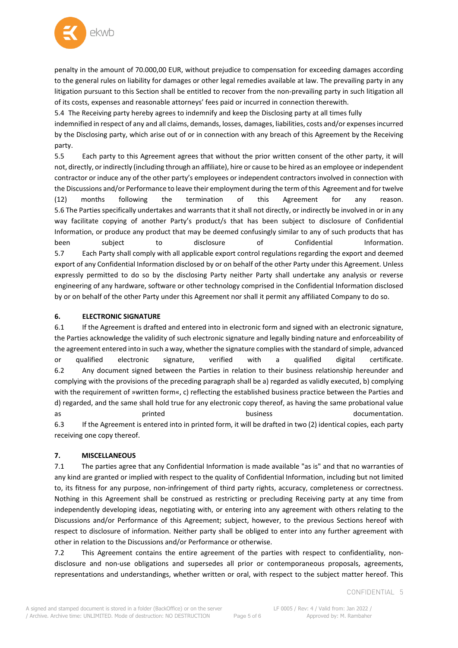

penalty in the amount of 70.000,00 EUR, without prejudice to compensation for exceeding damages according to the general rules on liability for damages or other legal remedies available at law. The prevailing party in any litigation pursuant to this Section shall be entitled to recover from the non-prevailing party in such litigation all of its costs, expenses and reasonable attorneys' fees paid or incurred in connection therewith.

5.4 The Receiving party hereby agrees to indemnify and keep the Disclosing party at all times fully

indemnified in respect of any and all claims, demands, losses, damages, liabilities, costs and/or expenses incurred by the Disclosing party, which arise out of or in connection with any breach of this Agreement by the Receiving party.

5.5 Each party to this Agreement agrees that without the prior written consent of the other party, it will not, directly, or indirectly (including through an affiliate), hire or cause to be hired as an employee or independent contractor or induce any of the other party's employees or independent contractors involved in connection with the Discussions and/or Performance to leave their employment during the term of this Agreement and for twelve (12) months following the termination of this Agreement for any reason. 5.6 The Parties specifically undertakes and warrants that it shall not directly, or indirectly be involved in or in any way facilitate copying of another Party's product/s that has been subject to disclosure of Confidential Information, or produce any product that may be deemed confusingly similar to any of such products that has been subject to disclosure of Confidential Information. 5.7 Each Party shall comply with all applicable export control regulations regarding the export and deemed export of any Confidential Information disclosed by or on behalf of the other Party under this Agreement. Unless expressly permitted to do so by the disclosing Party neither Party shall undertake any analysis or reverse engineering of any hardware, software or other technology comprised in the Confidential Information disclosed by or on behalf of the other Party under this Agreement nor shall it permit any affiliated Company to do so.

## **6. ELECTRONIC SIGNATURE**

6.1 If the Agreement is drafted and entered into in electronic form and signed with an electronic signature, the Parties acknowledge the validity of such electronic signature and legally binding nature and enforceability of the agreement entered into in such a way, whether the signature complies with the standard of simple, advanced or qualified electronic signature, verified with a qualified digital certificate. 6.2 Any document signed between the Parties in relation to their business relationship hereunder and complying with the provisions of the preceding paragraph shall be a) regarded as validly executed, b) complying with the requirement of »written form«, c) reflecting the established business practice between the Parties and d) regarded, and the same shall hold true for any electronic copy thereof, as having the same probational value as printed business documentation. 6.3 If the Agreement is entered into in printed form, it will be drafted in two (2) identical copies, each party receiving one copy thereof.

## **7. MISCELLANEOUS**

7.1 The parties agree that any Confidential Information is made available "as is" and that no warranties of any kind are granted or implied with respect to the quality of Confidential Information, including but not limited to, its fitness for any purpose, non-infringement of third party rights, accuracy, completeness or correctness. Nothing in this Agreement shall be construed as restricting or precluding Receiving party at any time from independently developing ideas, negotiating with, or entering into any agreement with others relating to the Discussions and/or Performance of this Agreement; subject, however, to the previous Sections hereof with respect to disclosure of information. Neither party shall be obliged to enter into any further agreement with other in relation to the Discussions and/or Performance or otherwise.

7.2 This Agreement contains the entire agreement of the parties with respect to confidentiality, nondisclosure and non-use obligations and supersedes all prior or contemporaneous proposals, agreements, representations and understandings, whether written or oral, with respect to the subject matter hereof. This